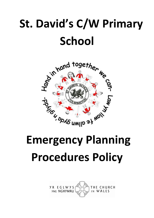# St. David's C/W Primary **School**



# Procedures Policy

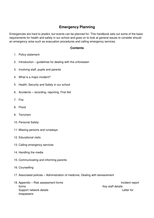# **Emergency Planning**

Emergencies are hard to predict, but events can be planned for. This handbook sets out some of the basic requirements for health and safety in our school and goes on to look at general issues to consider should an emergency arise such as evacuation procedures and calling emergency services.

# **Contents**

- 1. Policy statement
- 2. Introduction guidelines for dealing with the unforeseen
- 3. Involving staff, pupils and parents
- 4. What is a major incident?
- 5. Health, Security and Safety in our school
- 6. Accidents recording, reporting, First Aid
- 7. Fire
- 8. Flood
- 9. Terrorism
- 10. Personal Safety
- 11. Missing persons and runaways
- 12. Educational visits
- 13. Calling emergency services
- 14. Handling the media
- 15. Communicating and informing parents
- 16. Counselling
- 17. Associated policies Administration of medicine, Dealing with bereavement
- 18. Appendix Risk assessment forms **Incident report** Incident report forms **Key staff details** Support network details **Letter for** trespassers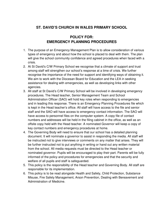# **ST. DAVID'S CHURCH IN WALES PRIMARY SCHOOL**

# **POLICY FOR: EMERGENCY PLANNING PROCEDURES**

- 1. The purpose of an Emergency Management Plan is to allow consideration of various types of emergency and about how the school is placed to deal with them. The plan will give the school community confidence and agreed procedures when faced with a crisis.
- 2. At St David's C/W Primary School we recognise that a climate of support and trust among staff will strengthen our school's response at a time of crisis. We further recognise the importance of the need for support and identifying ways of obtaining it. We aim to work with the Diocesan Board for Education and the LEA in seeking assistance for dealing with emergencies, as well as developing links with other agencies.
- 3. All staff at St David's C/W Primary School will be involved in developing emergency procedures. The Head teacher, Senior Management Team and School Administration Officer (SAO) will hold key roles when responding to emergencies and in leading this response. There is an Emergency Planning Procedures file which is kept in the Head teacher's office. All staff will have access to the file and senior staff and the SAO will have access to emergency contact information. The SAO will have access to personnel files on the computer system. A copy file of contact numbers and addresses will be held in the filing cabinet in the office, as well as an offsite copy held with the Head teacher. A nominated Governor will keep a copy of key contact numbers and emergency procedures at home.
- 4. The Governing Body will need to ensure that our school has a detailed planning document. It will nominate a governor to assist in responding the media. All staff will be instructed not to give interviews or comments on any matter that arises. They will be further instructed not to put anything in writing or hand out any written material from the school. All media requests must be directed to the Head teacher or nominated governor. Pupils will be encouraged to play their part. Parents will be fully informed of the policy and procedures for emergencies and that the security and welfare of all pupils and staff is safeguarded.
- 5. This policy is the responsibility of the Head teacher and Governing Body. All staff are responsible for its implementation.
- 6. This policy is to be read alongside Health and Safety, Child Protection, Substance Misuse, Fire Safety Management, Arson Prevention, Dealing with Bereavement and Administration of Medicine.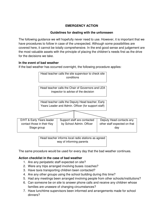# **EMERGENCY ACTION**

# **Guidelines for dealing with the unforeseen**

The following guidance we will hopefully never need to use. However, it is important that we have procedures to follow in case of the unexpected. Although some possibilities are covered here, it cannot be totally comprehensive. In the end good sense and judgement are the most valuable assets with the principle of placing the children's needs first as the drive for the decisions we take.

# **In the event of bad weather**

If the bad weather has occurred overnight, the following procedure applies:



way of informing parents

The same procedure would be used for every day that the bad weather continues.

# **Action checklist in the case of bad weather**

- 1. Are any peripatetic staff expected on site?
- 2. Were any trips arranged involving buses /coaches?
- 3. Have taxis transporting children been contacted?
- 4. Are any other groups using the school building during this time?
- 5. Had any meetings been arranged involving people from other schools/institutions?
- 6. Can someone be on site to answer phone calls and receive any children whose families are unaware of changing circumstances?
- 7. Have lunchtime supervisors been informed and arrangements made for school dinners?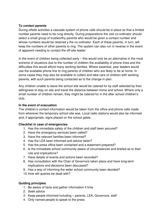# **To contact parents**

During offsite activities a cascade system of phone calls should be in place so that a limited number parents need to be rung directly. During preparations the visit co-ordinator should select a small group of trustworthy parents who would be given a contact number and whose numbers would be retained y the co-ordinator. Each of these parents, in turn, will keep the numbers of other parents to ring. The system can also run in reverse in the event of apparent needing to contact the off-site leader.

In the event of children being collected early – this would only be an alternative in the most extreme of situations due to the number of children the availability of phone lines and the difficulties this would afford many working families. Where essential, year leaders would use the available phone line to ring parents of children who are likely to be at home. In some cases they may also be available to collect and take care of children with working parents, with such parents being contacted as to the change in plan.

Any children unable to leave the school site would be catered for by staff selected by their willingness to stay on site and travel the distance between home and school. Where only a small number of children remain, they might be catered for in the after school children's club.

# **In the event of evacuation**

The children's contact information would be taken from the office and phone calls made from wherever the temporary school site was. Local radio stations would also be informed and, if appropriate, signs placed on the school gates.

# **Checklist in case of emergencies**

- 1. Has the immediate safety of the children and staff been secured?
- 2. Have the emergency services been called?
- 3. Have the relevant families been informed?
- 4. Has the LEA been informed and advice taken?
- 5. Has the press office been contacted and a statement prepared?
- 6. Is the immediate school community aware of circumstances and briefed as to their role and implications?
- 7. Have details of events and actions been recorded?
- 8. Has consultation with the Chair of Governors taken place and have long-term implications and decisions been discussed?
- 9. Has a way of informing the wider school community been decided?
- 10. How will queries be dealt with?

# **Guiding principles**

- 1. Be aware of facts and gather information if time
- 2. Seek advice
- 3. Keep people informed including parents, LEA, Governors, staff
- 4. Only named people to speak to the press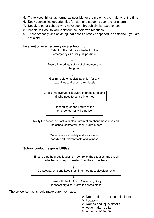- 5. Try to keep things as normal as possible for the majority, the majority of the time
- 6. Seek counselling opportunities for staff and students over the long term
- 7. Speak to other schools who have been through similar experiences
- 8. People will look to you to determine their own reactions
- 9. There probably isn't anything that hasn't already happened to someone you are not alone!



#### **In the event of an emergency on a school trip**





The school contact should make sure they have:

- ❖ Nature, date and time of incident
- ❖ Location
- $\div$  Names and injury details
- Action taken so far
- ❖ Action to be taken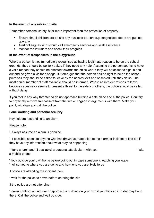# **In the event of a break in on site**

Remember personal safety is far more important than the protection of property.

- Ensure that if children are on site any available barriers e.g. magnetised doors are put into operation
- Alert colleagues who should call emergency services and seek assistance
- Monitor the intruders and check their progress

# **In the event of trespassers in the playground**

Where a person is not immediately recognised as having legitimate reason to be on the school grounds, they should be politely asked if they need any help. Assuming the person seems to have a valid reason they should be directed towards the office where they will be asked to sign in and out and be given a visitor's badge. If it emerges that the person has no right to be on the school premises they should be asked to leave by the nearest exit and observed until they do so. The most senior member of staff available should be informed. Where an intruder refuses to leave, becomes abusive or seems to present a threat to the safety of others, the police should be called without delay.

If you feel in any way threatened do not approach but find a safe place and al the police. Don't try to physically remove trespassers from the site or engage in arguments with them. Make your point, withdraw and call the police.

# **Lone working and personal security**

# Key holders responding to an alarm

# Please note:

\* Always assume an alarm is genuine

\* If possible, speak to anyone who has drawn your attention to the alarm or incident to find out if they have any information about what may be happening

| * take a torch and (if available) a personal attack alarm with you | * take |
|--------------------------------------------------------------------|--------|
| a mobile phone                                                     |        |

- \* look outside your own home before going out in case someone is watching you leave
- \* tell someone where you are going and how long you are likely to be

# If police are attending the incident then:

\* wait for the police to arrive before entering the site

# If the police are not attending:

\* never confront an intruder or approach a building on your own if you think an intruder may be in there. Call the police and wait outside.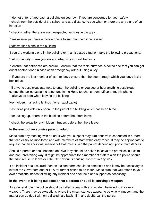\* do not enter or approach a building on your own if you are concerned for your safety

\* check from the outside of the school and at a distance to see whether there are any signs of an intrusion

\* check whether there are any unexpected vehicles in the area

\* make sure you have a mobile phone to summon help if necessary

# Staff working alone in the building

If you are working alone in the building or in an isolated situation, take the following precautions:

\* tell somebody where you are and what time you will be home

 \* ensure that entrances are secure – ensure that the main entrance is bolted and that you can get out of another door in case of an emergency without using a key

 \* if you are the last member of staff to leave ensure that the door through which you leave locks behind you

\* if anyone suspicious attempts to enter the building or you see or hear anything suspicious contact the police using the telephone in the Head teacher's room, office or mobile phone \* always be alert when leaving the building

# Key holders managing lettings (when applicable)

\* as far as possible only open up the part of the building which has been hired

- \* for locking up, return to the building before the hirers leave
- \* check the areas for any hidden intruders before the hirers leave

# **In the event of an abusive parent / adult**

Make sure any meeting with an adult who you suspect may turn abusive is conducted in a room that can easily be monitored and with members of staff within easy reach. It may be appropriate to request that an additional member of staff meets with the parent depending upon circumstances.

Should a parent or adult become abusive they should be asked to leave the premises in a calm and non-threatening way. It might be appropriate for a member of staff to alert the police should the adult refuse to leave or if their behaviour is causing concern in any way.

If an incident has occurred then an incident form should be completed and it may be necessary to inform the Governors and/or LEA for further action to be taken. Make sure that you attend to your own emotional needs following any incident and seek help and support as necessary.

# **In the event of it being suspected that a person or pupil is carrying a weapon**

As a general rule, the police should be called o deal with any incident believed to involve a weapon. There may be exceptions where the circumstances appear to be wholly innocent and the matter can be dealt with on a disciplinary basis. If in any doubt, call the police.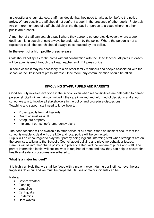In exceptional circumstances, staff may decide that they need to take action before the police arrive. Where possible, staff should not confront a pupil in the presence of other pupils. Preferably two or more members of staff should divert the the pupil or person to a place where no other pupils are present.

A member of staff can search a pupil where they agree to co-operate. However, where a pupil declines this, a search should always be undertaken by the police. Where the person is not a registered pupil, the search should always be conducted by the police.

# **In the event of a high profile press release**

Staff should not speak to the press without consultation with the Head teacher. All press releases will be administered through the Head teacher and LEA press office.

In some cases it may be necessary to alert other family members and people associated with the school of the likelihood of press interest. Once more, any communication should be official.

# **INVOLVING STAFF, PUPILS AND PARENTS**

Good security involves everyone in the school, even when responsibilities are delegated to named personnel. Staff will remain committed if they are involved and informed of decisions and at our school we aim to involve all stakeholders in the policy and procedure discussions. Teaching and support staff need to know how to :

- Protect pupils from all hazards
- Guard against assault
- Safeguard property
- Implement our school's emergency plans

The head teacher will be available to offer advice at all times. When an incident occurs that the school is unable to deal with, the LEA and local police will be contacted. Pupils will be encouraged to play their part by being vigilant, informing staff when strangers are on the premises, talking to the School's Council about bullying and playtime behaviour issues. Parents will be informed that a policy is in place to safeguard the welfare of pupils and staff. The parent information leaflet will outline what is required of them and how they can help to ensure that health and safety procedures are adhered to.

# **What is a major incident?**

It is highly unlikely that we shall be faced with a major incident during our lifetime; nevertheless tragedies do occur and we must be prepared. Causes of major incidents can be:

# Natural:

- Severe weather
- Flooding
- Landslide
- Earthquake
- Epidemics
- Heat waves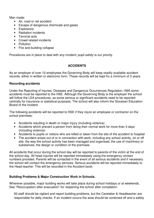Man made:

- Air, road or rail accident
- Escape of dangerous chemicals and gases
- Explosions
- Radiation incidents
- Terrorist acts
- Crowd related incidents
- Pollution
- Fire and building collapse

Procedures are in place to deal with any incident; pupil safety is our priority.

# **ACCIDENTS**

As an employer of over 10 employees the Governing Body will keep readily available accident records, either in written or electronic form. These records will be kept fro a minimum of 3 years.

# **Recording accidents**

Under the Reporting of Injuries, Diseases and Dangerous Occurrences Regulation 1995 some accidents must be reported to the HSE. Although the Governing Body is the employer the school will follow the LEA procedures, as some serious or significant accidents need to be reported centrally for insurance or statistical purposes. The school will also inform the Diocesan Education Board of the incident.

The following accidents will be reported to HSE if they injure an employee or contractor on the school premises:

- Accidents resulting in death or major injury (including violence)
- Accidents which prevent a person from doing their normal work for more than 3 days (including violence)
- Accidents to pupils or visitors who are killed or taken from the site of the accident to hospital
- The accident arises out of or in connection with work, including any school activity, on or off site; the way the school activity has been managed and organised; the use of machinery or substances; the design or condition of the premises.

All accidents that occur during the school day will be reported to parents of the victim at the end of the school day. All head injuries will be reported immediately using the emergency contact numbers provided. Parents will be contacted in the event of all serious accidents and if necessary the school will contact the emergency services. Serious accidents will be reported immediately to the Head teacher. This will be recorded in the Accident book.

# **Building Problems & Major Construction Work in Schools.**

Wherever possible, major building works will take place during school holidays or at weekends. See "Reoccupation after evacuation" for reopening the school after completion.

All staff should be vigilant and report building problems, but the Caretaker & Headteacher are responsible for daily checks. If an incident occurs the area should be cordoned off and a safety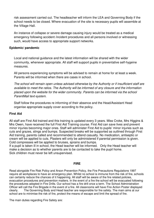risk assessment carried out. The headteacher will inform the LEA and Governing Body if the school needs to be closed. Where evacuation of the site is necessary pupils will assemble at the Village Hall.

An instance of collapse or severe damage causing injury would be treated as a medical emergency following accident /incident procedures and all persons involved or witnessing such, would have access to appropriate support networks.

#### **Epidemic/ pandemic**

Local and national guidance and the latest information will be shared with the wider community, whenever appropriate. All staff will support pupils in preventative self-hygeine measures.

All persons experiencing symptoms will be advised to remain at home for at least a week. Parents will be informed when there are cases in school.

The school will remain open unless advised otherwise by the Authority or if insufficient staff are available to meet the ratios. The Authority will be informed of any closure and the information placed upon the website for the wider community. Parents can be informed via the school ParentMail text-system.

Staff follow the procedures re informing of their absence and the Head/Assistant Head organise appropriate supply cover according to the policy.

#### **First Aid**

All staff are First Aid trained and this training is updated every 3 years. Miss Croke, Mrs Higgins & Mrs Owen, have received the full First Aid Training course. First Aid can save lives and prevent minor injuries becoming major ones. Staff will administer First Aid to pupils' minor injuries such as cuts and grazes, stings and bumps. Suspected breaks will be supported as outlined through First Aid training, parents called and recommended to attend casualty. No medication, antiseptic or cream will be applied to cuts. Plasters will only be administered if parental permission is given. Cold compresses will be applied to bruises, sprains and bumps.

If a pupil is taken ill in school, the Head teacher will be informed. Only the Head teacher will make a decision as to whether parents are to be contacted to take the pupil home. Sick children must never be left unsupervised.

#### **FIRE**

Read alongside Fire Risk Policy and Arson Prevention Policy, the Fire Precautions Regulations 1997 require all workplaces to have an emergency plan. Whilst no school is immune from the risk of fire, schools can certainly reduce the chances of it happening. All staff will be aware of the fire related policies, evacuation procedures and prevention matters. In the event of a fire the school will be evacuated following the procedures adopted in Fire Drills. Our school has a fire drill once a term. The School Administration Officer will call the Fire Brigade in the event of a fire. All classrooms will have Fire Action Poster displayed clearly. The Governing Body and Head teacher are responsible for fire safety. The main aims at our school are to minimise the risk of fire, protect the means of escape and limit the spread of fire.

The main duties regarding Fire Safety are: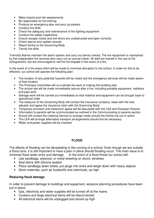- Make hazard and risk assessments
- Be responsible for fire training
- Produce an emergency plan and pout up posters
- Conduct fire drills
- Check the adequacy and maintenance of fire fighting equipment
- Conduct fire safety inspections
- Ensure escape routes and exit doors are unobstructed and open correctly
- Check alarms and update records
- Report termly to the Governing Body
- Termly fire drills

Tremorfa Alarms maintain the alarm system and carry out termly checks. The fire equipment is maintained by the independent fire services who carry out an annual check. All staff are trained in the use of fire extinguishers, but are encouraged to call the fire brigade in the event of a fire.

In the event of a fire every effort will be made to minimise disruption to the school. In order for this to be effective, our school will operate the following plan:

- The location of any potential hazards will be noted and the emergency services will be made aware of their location
- The Premises Committee will co-ordinate the work of making the building safe
- The school site will be made immediately secure after a fire, including portable equipment, radiators and pipe work
- Salvage work will be carried out immediately so that material and equipment can be brought back to operational order
- The treasurer of the Governing Body will contact the insurance company, liaise with the loss adjuster and agree the insurance claim with the Governing Body
- Temporary provision and classroom space will be discussed with the LEA and Diocesan Director
- Information to parents will be communicated as outlined in the Communicating to parents section
- School will contact the Catering Service to arrange meals should the kitchen be out of action
- The LEA will arrange alternative transport arrangements should this be necessary
- Water and power supplies will be checked

# **FLOOD**

The effects of flooding can be devastating to the running of a school. Even though we are outside a flood zone, it is still important to have a plan in place should flooding occur. The main issue is to minimise flood water entry and damage. In the event of a flood threat our school will:

- Use sandbags, plywood, or metal sheeting on doors, windows
- Seal doors with silicone sealant
- Place sandbags down toilets, put plugs into sinks and weigh down with heavy objects
- Store materials, such as foodstuffs and chemicals, up high

#### **Reducing flood damage**

In order to prevent damage to buildings and equipment, advance planning procedures have been put in place.

- Gas, electricity and water supplies will be turned off at the mains
- Cookers and large electrical items will be disconnected
- All electrical items will be unplugged and stored up high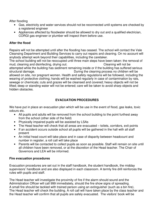After flooding

- Gas, electricity and water services should not be reconnected until systems are checked by a registered engineer
- Appliances affected by floodwater should be allowed to dry out and a qualified electrician, CORGI gas engineer or plumber will inspect them before use.

# **After the flood**

Repairs will not be attempted until after the flooding has ceased. The school will contact the Vale Cleansing Department and Building Services to carry out repairs and cleaning. On no account will anybody attempt work beyond their capabilities, including the caretaker.

The school building will not be reoccupied until three main steps have been taken: the removal of mud, cleaning and disinfecting, drying out. The cleaning will not be mud, cleaning will not be

attempted while the building has sediment remaining inside or if the building has suffered serious structural damage. The cleaning process no children will be structural damage. allowed on site, nor pregnant women. Health and safety regulations will be followed, including the wearing of protective clothing; hands will be washed regularly in case of contamination by rats,

sewage or chemicals; cuts and grazes will be cleansed and covered; heavy objects will not be lifted; deep or standing water will not be entered; care will be taken to avoid sharp objects and hidden obstacles.

# **EVACUATION PROCEDURES**

We have put in place an evacuation plan which will be use in the event of flood, gas leaks, toxic odours etc.

- All pupils and adults will be removed from the school building to the point furthest away from the school (other side of the field)
- Physically impaired pupils will be assisted by LSAs
- The Head teacher will check that all areas are evacuated toilets, corridors, exit points
- If an accident occurs outside school all pupils will be gathered in the hall with all staff present
- An initial head count will take place and in case of disparity between headcount and number in register, a roll call will take place
- Parents will be contacted to collect pupils as soon as possible. Staff will remain on site until all children have been removed, or at the discretion of the Head teacher. The Chair of Governors and LEA will be informed.

#### **Fire evacuation procedures**

Evacuation procedures are set out in the staff handbook, the student handbook, the midday supervisors' handbook and are also displayed in each classroom. A termly fire drill reinforces the rules with pupils and staff.

The Head teacher will investigate the proximity of fire if the alarm should sound and the Administration Officer will call 999 immediately, should the fire show signs of spreading. A small fire should be tackled with trained person using an extinguisher (such as a bin fire). The Head teacher will check the building. A roll call will have taken place by the class teacher and the Head teacher will confirm that all pupils are safely evacuated. The visitors' book will be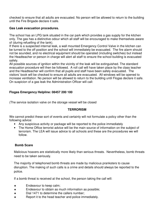checked to ensure that all adults are evacuated. No person will be allowed to return to the building until the Fire Brigade declare it safe.

# **Gas Leak evacuation procedures.**

The school has an LPG tank situated in the car park which provides a gas supply for the kitchen only. The gas has a distinctive odour which all staff will be encouraged to make themselves aware of (during refuelling of the tank).

If there is a suspected internal leak, a wall mounted Emergency Control Valve in the kitchen can be turned to the off position and the school will immediately be evacuated. The fire alarm should not be sounded, and no electrical equipment should be operated (including switches) but instead the Headteacher or person in charge will alert all staff to ensure the school building is evacuated safely.

All possible sources of ignition within the vicinity of the leak will be extinguished. The standard evacuation procedure will then be followed. A roll call will have taken place by the class teacher and the Headteacher will confirm that all pupils and staff have been safely evacuated. The visitors' book will be checked to ensure all adults are evacuated. All windows will be opened to increase ventilation. No person will be allowed to return to the building until Flogas declare it safe. On suspicion of a gas leak the Administration Officer will call:

# **Flogas Emergency Helpline: 08457 200 100**

(The service isolation valve on the storage vessel will be closed

# **TERRORISM**

We cannot predict these sort of events and certainly will not formulate a policy other than the following advice:

- Any suspicious activity or package will be reported to the police immediately
- The Home Office terrorist advice will be the main source of information on the subject of terrorism. The LEA will issue advice to all schools and these are the procedures we will follow.

# **Bomb Scare**

Malicious hoaxers are statistically more likely than serious threats. Nevertheless, bomb threats need to be taken seriously.

The majority of telephoned bomb threats are made by malicious pranksters to cause disruption. The making of such calls is a crime and details should always be reported to the police.

If a bomb threat is received at the school, the person taking the call will:

- ♦ Endeavour to keep calm;
- ♦ Endeavour to obtain as much information as possible;
- ♦ Dial 1471 to determine the callers number;
- Report it to the head teacher and police immediately.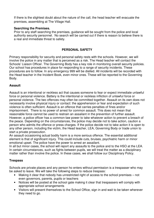If there is the slightest doubt about the nature of the call, the head teacher will evacuate the premises, assembling at The Village Hall.

#### **Searching the Premises.**

Prior to any staff searching the premises, guidance will be sought from the police and local authority security personnel. No search will be carried out if there is reason to believe there is a real and immediate threat to safety.

# **PERSONAL SAFETY**

Primary responsibility for security and personal safety rests with the schools. However, we will involve the police in any matter that is perceived as a risk. The Head teacher will contact the Schools' Liaison Officer. The Governing Body has a key role in monitoring overall security policies. Our school has procedures in place for responding to a range of security incidents. These procedures are to follow. In any emergency 999 will be dialled. All incidents will be recorded with the Head teacher in the Incident Book, even minor ones. These will be reported to the Governing Body.

#### **Assault**

Assault is an intentional or reckless act that causes someone to fear or expect immediate unlawful force or personal violence. Battery is the intentional or reckless infliction of unlawful force or personal violence. The two offences may often be committed together. Assault on its own does not necessarily involve physical injury or contact: the apprehension or fear and expectation of such violence is often sufficient. Assault is an offence that carries penalties of fines and/or imprisonment. There is no power of arrest for common assault. This does not mean that reasonable force cannot be used to restrain an assailant in the prevention of further assault. However, a police officer has a common-law power to take whatever action to prevent a breach of the peace. Depending on the circumstances, the police may decide not to take action, caution a person who admits the offence or press charges. If the police decide not to take action it is open to any other person, including the victim, the Head teacher, LEA, Governing Body or trade union to start a private prosecution.

An assault occasioning actual bodily harm is a more serious offence. The essential additional element is that of significant injury. This could include cuts, bruises, psychiatric harm or minor emotional upset. The police have the power to arrest an assailant.

In all but minor cases, the school will report any assaults to the police and to the HSO at the LEA. In certain circumstances, such as fights between pupils, we will treat the matter as a disciplinary matter rather than involve the police. In these cases, we shall follow our Disciplinary Policy.

#### **Trespass**

Schools are private places and any person ho enters without permission is a trespasser who may be asked to leave. We will take the following steps to reduce trespass:

- Making it clear that nobody has unrestricted right of access to the school premises not even governors, parents, pupils or teachers
- Notices will be posted at the school gate making it clear that trespassers will comply with appropriate school arrangements
- Visitors will present themselves to the School Office, sign in and wait to be taken wherever they need to go.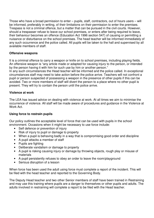Those who have a broad permission to enter – pupils, staff, contractors, out of hours users – will be informed, preferably in writing, of their limitations on their permission to enter the premises. Trespass is not a criminal offence, but a matter that can be pursued in the civil courts. However, should a trespasser refuse to leave our school premises, or enters after being required to leave, their behaviour becomes an offence (Education Act 1996 section 547) of causing or permitting a nuisance or disturbance on the school premises. The head teacher will be informed immediately of any such occurrence and the police called. All pupils will be taken to the hall and supervised by all available members of staff.

# **Offensive weapons**

It is a criminal offence to carry a weapon or knife on to school premises, including playing fields. An offensive weapon is "any article made or adapted for causing injury to the person, or intended by the person having it with him for such use by him or another person."

In any such circumstances the Head teacher will be informed and the police called. In exceptional circumstances staff may need to take action before the police arrive. Teachers will not confront a pupil or person suspected of possessing a weapon in the presence of other pupils if this can be avoided. Two or more members of staff will divert the person to a place where no other pupil is present. They will try to contain the person until the police arrive.

#### **Violence at work**

The LEA has issued advice on dealing with violence at work. At all times we aim to minimise the occurrence of violence. All staff will be made aware of procedures and guidance in the Violence at Work Act.

# **Using force to restrain pupils**

Our policy outlines the acceptable level of force that can be used with pupils in the school environment. Occasions when it might be necessary to use force include:

- Self defence or prevention of injury
- Risk of injury to pupil or damage to property
- When a pupil is behaving badly in a way that is compromising good order and discipline
- A pupil attacks a member of staff
- Pupils are fighting
- Deliberate vandalism or damage to property
- A pupil is risking causing injury or damage by throwing objects, rough play or misuse of materials
- A pupil persistently refuses to obey an order to leave the room/playground
- Serious disruption of a lesson

When force has been used the adult using force must complete a report of the incident. This will be filed with the head teacher and reported to the Governing Body.

The Deputy Head teacher and two other Senior members of staff have been trained in Restraining and may use this training where pupils are a danger to themselves or other pupils and adults. The adults involved in restraining will complete a report to be filed with the Head teacher.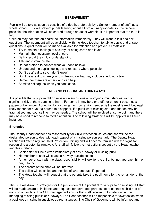# **BEREAVEMENT**

Pupils will be told as soon as possible of a death, preferably by a Senior member of staff, as a whole school. This will prevent pupils learning about it from an inappropriate source. Where possible, the information will be shared through an act of worship. It is important that the truth is told.

Children may not take on board the information immediately. They will want to talk and ask questions. The incumbent will be available, with the Head teacher, to talk to pupils and answer questions. A quiet room will be made available for reflection and prayer. All staff will:

- Try to maintain feelings of security, of being cared and loved
- Maintain the necessary level of care
- Be honest at the child's understanding
- Talk and communicate
- Do not pretend to believe what you don't believe
- Understand the pupils' feelings and reassure where possible
- Don't be afraid to say, 'I don't know'
- Don't be afraid to share your own feelings that may include shedding a tear
- Remember there are others who can help
- Admit to colleagues when you can't cope.

# **MISSING PERSONS AND RUNAWAYS**

It is possible that a pupil might go missing in suspicious or worrying circumstances, with a significant risk of them coming to harm. For some it may be a one-off, for others it becomes a pattern of behaviour. Abduction by a stranger, or non family member, is the most feared, but least likely reason for a young person to disappear. If a pupil went missing staff and friends may be traumatised and counselling may be needed. The school will be involved at some point and there may be a need to respond to media attention. The following strategies will be applied in all such instances.

# **Strategies**

The Deputy Head teacher has responsibility for Child Protection issues and she will be the designated person to deal with each aspect of a missing person scenario. The Deputy Head teacher will attend regular Child Protection training and will become familiar with the signs for recognising a potential runaway. All staff will follow the instructions set out by the Head teacher and this strategy.

- Senior staff will be alerted immediately of any runaway or missing pupil
- No member of staff will chase a runway outside school
- A member of staff with no class responsibility will look for the child, but not approach him or her, if found
- The parents of the child will be informed
- The police will be called and notified of whereabouts, if spotted
- The Head teacher will request that the parents take the pupil home for the remainder of the day

The SLT will draw up strategies for the prevention of the potential for a pupil to go missing. All staff will be made aware of incidents and requests for estranged parents not to contact a child and of non contact orders. The CPD manager will ensure that staff receive up to date training on managing missing pupils or runaways. The Head teacher will be responsible for swift action when a pupil goes missing in suspicious circumstances. The Chair of Governors will be informed and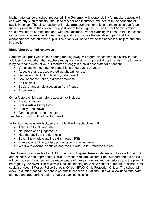his/her attendance at school requested. The Governor with responsibility for media relations will deal with any such requests. The Head teacher and incumbent will deal with the concerns of pupils in school. The class teacher will make arrangements for talking to the missing pupil's best friends, giving them the option to suggest where they might be. The School Administration Officer will inform parents and deal with their distress. Proper planning will ensure that the school can act swiftly when a pupil goes missing and will minimise the negative impact that the disappearance has on other pupils. The priority will be to provide the necessary help for the pupil in question.

# **Identifying potential runaways**

Sometimes a pupil who is considering running away will regard his teacher as his only trusted adult, so it is important that teachers recognise the signs for potential pupils at risk. The following is by no means exhaustive, but features strongly in a child desperate for attention:

- Variations in mood e.g. extreme highs or outbursts of anger
- Appetite change, accelerated weight gain or loss
- Depression, lack of motivation, detachment
- Lack of concentration, extreme tiredness
- Self-neglect
- Social changes, disassociation from friends
- Absenteeism

Other factors which can help to assess risk include:

- Previous history
- Stress related symptoms
- Family breakdown
- Other significant life changes.

Teachers' instinct will not be dismissed.

Potential runaways feel isolated and if identified in school, we will:

- Take time to talk and listen
- Not probe or be judgemental
- Hep the pupil get the right help
- Teach the whole class life skills through PSE
- Plan a Circle Time to discuss the issue of running away
- Work with external agencies and consult with Child Protection Officer

The Governor responsible for Child Protection will agree these strategies and liaise with the LEA and diocese. When appropriate, Social Services, Welfare Officers, Pupil Support and the police will be involved. Teachers will be made aware of these strategies and procedures and the plan will be regularly reviewed. The review will include keeping up to date contact numbers for school staff, social services, S Wales' Police Schools' Officer, EWO, Child Protection Officer. The school will draw up a letter that can be sent to parents in sensitive situations. This will allow us to take swift, planned and appropriate action should a pupil go missing.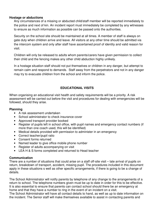# **Hostage or abductions**

Any circumstances of a missing or abducted child/staff member will be reported immediately to the police and next of kin. An incident report must immediately be completed by any witnesses to ensure as much information as possible can be passed onto the authorities.

Security on the school site should be maintained at all times. A member of staff is always on gate duty when children arrive and leave. All visitors at any other time should be admitted via the intercom system and only after staff have ascertained proof of identity and valid reason for visit.

Children will only be released to adults whom parents/carers have given permission to collect their child and the fencing makes any other child abduction highly unlikely.

In a hostage situation staff should not put themselves or children in any danger, but attempt to remain calm and respond to demands. Staff away from the perpetrators and not in any danger may try to evacuate children from the school and inform the police.

# **EDUCATIONAL VISITS**

When organising an educational visit health and safety requirements will be a priority. A risk assessment will be carried out before the visit and procedures for dealing with emergencies will be followed, should they arise.

#### **Planning**

- A risk assessment undertaken
- School administrator to check insurance cover
- Approved transport provider booked
- Register of pupils left in school office, with pupil names and emergency contact numbers (if more than one coach used, this will be identified)
- Medical details provided with permission to administer in an emergency
- Correct teacher/pupil ratio
- Consent forms returned
- Named leader to give office mobile phone number
- Register of adults accompanying on visit
- LEA H & S forms completed and returned to Head teacher

#### **Communication**

There are a number of situations that could arise on a staff off-site visit – late arrival of pupils on return, breakdown of transport, accident, missing pupil. The procedures included in this document apply in these situations s well as other specific arrangements, if there is going to be a change of details.

The School Administrator will notify parents by telephone of any change to the arrangements of a return to school. The telephone numbers given must be up to date in order for this to be effective. It is also essential to ensure that parents can contact school should there be an emergency at home and that they have a number to ring in the event of an incident on a visit.

The School Administrator will have all contact details to hand, as well as up to date information on the incident. The Senior staff will make themselves available to assist in contacting parents and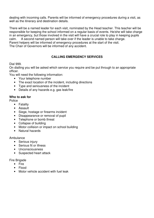dealing with incoming calls. Parents will be informed of emergency procedures during a visit, as well as the itinerary and destination details.

There will be a named leader for each visit, nominated by the Head teacher. This teacher will be responsible for keeping the school informed on a regular basis of events. He/she will take charge in an emergency, but those involved in the visit will have a crucial role to play in keeping pupils calm. A second named person will take over if the leader is unable to take charge. Parent helpers will be informed of emergency procedures at the start of the visit.

The Chair of Governors will be informed of any accident.

# **CALLING EMERGENCY SERVICES**

Dial 999.

On dialling you will be asked which service you require and be put through to an appropriate officer.

You will need the following information:

- Your telephone number
- The exact location of the incident, including directions
- Type and seriousness of the incident
- Details of any hazards e.g. gas leak/fire

# **Who to ask for**

Police

- Fatality
- Assault
- Siege, hostage or firearms incident
- Disappearance or removal of pupil
- Telephone or bomb threat
- Collapse of building
- Motor collision or impact on school building
- Natural hazards

Ambulance

- Serious injury
- Serious fit or illness
- Unconsciousness
- Suspected heart attack

# Fire Brigade

- Fire
- Flood
- Motor vehicle accident with fuel leak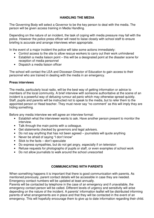# **HANDLING THE MEDIA**

The Governing Body will select a Governor to be the key person to deal with the media. The person will be given access training in Media Handling.

Depending on the nature of an incident, the task of coping with media pressure may fall with the police. However the police press officer will need to liaise closely with school staff to ensure briefing is accurate and arrange interviews when appropriate.

In the event of a major incident the police will take some actions immediately:

- Control access to the site to allow rescue workers to carry out their work unhindered
- Establish a media liaison point this will be a designated point at the disaster scene for reception of media personnel
- Dispatch a media liaison officer

The school will contact the LEA and Diocesan Director of Education to gain access to their personnel who are trained in dealing with the media in an emergency.

#### **Press interviews**

The media, particularly local radio, will be the best way of getting information or advice to members of the local community. A brief interview with someone authoritative at the scene of an incident is a powerful way of defusing rumour ad panic which may otherwise spread quickly. Staff, pupils and parents will be instructed not to speak to the media, but to refer them to the appointed person or Head teacher. They must never say "no comment" as this will imply they are hiding something.

Before any media interview we will agree an interview format:

- Establish what the interviewer wants to ask. Have another person present to monitor the interview.
- Talk through the main points with a colleague.
- Get statements checked by governors and legal advisers.
- Do not say anything that has not been agreed journalists will quote anything
- Never be afraid of saying "I don't know"
- Stick to the facts don't speculate
- Do express sympathies, but do not get angry, especially if on television
- Refuse requests for photographs of pupils or staff, or even examples of school work
- Do not allow journalists to walk around the school unescorted

# **COMMUNICATING WITH PARENTS**

When something happens it is important that there is good communication with parents. As mentioned previously, parent contact details will be accessible in case they are needed. Emergency contact numbers will be updated at least annually.

Parents will be contacted by telephone in the case of an emergency and if unavailable, the emergency contact person will be called. Different levels of urgency and sensitivity will arise depending on the nature of the incident. A parents' information leaflet will be distributed informing parents of what arrangements are in place and that they will be contacted in the event of an emergency. This will hopefully encourage them to give up to date information regarding their child.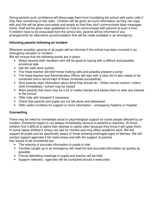Giving parents such confidence will discourage them from inundating the school with panic calls if they hear something on the radio. Children will be given as much information as they can cope with and this will be given accurately and simply so that they don't communicate false messages home. Staff will be given clear guidelines on how to communicate with parents at such a time. If children have to be evacuated from the school site, parents will be informed of any arrangements for alternative accommodation that will be made available in an emergency.

# **Informing parents following an incident**

Wherever possible, parents of all pupils will be informed if the school has been involved in an emergency situation or incident.

We will ensure that the following points are in place:

- Select several staff members who will be good at coping with a difficult and possible emotional task
- Get the calls done quickly
- The Head teacher will brief those making calls and possibly prepare a script
- The Head teacher and Administration Officer will start with a clear list of who needs to be contacted and a record kept of those contacted successfully.
- Give parents clear information about what they should do follow normal routine / collect child immediately / school may be closed
- Warn parents that there may be a lot of media interest and advise them to refer any interest to the school
- Offer help with transport if necessary
- Check that parents and pupils are not left alone and distressed
- Offer useful numbers for support or more information emergency helpline or hospital.

# **Counselling**

There may be need for immediate social or psychological support for some people affected by an incident. Emotional impact is not always immediately obvious to parents or teachers. At times children find it difficult to admit their distress to adults often because they know it will upset them. In some cases children's stress can last for months and may affect academic work. We will support all pupils and be specifically aware of those showing prolonged signs of distress. We will contact support agencies if the need arises and with the support of parents. Key issues to be considered are:

- The relaying of accurate information to pupils is vital
- Families caught up in an emergency will need full and accurate information as quickly as possible
- Formal debriefing meetings or pupils and teacher will be held
- Support networks / agencies will be contacted should a need arise.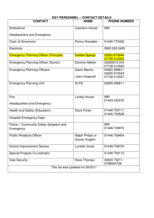| <b>KEY PERSONNEL - CONTACT DETAILS</b>        |                                    |                              |  |  |  |
|-----------------------------------------------|------------------------------------|------------------------------|--|--|--|
| <b>CONTACT</b>                                | <b>NAME</b>                        | <b>PHONE NUMBER</b>          |  |  |  |
| Ambulance                                     | <b>Caerleon House</b>              | 999                          |  |  |  |
| <b>Headquarters and Emergency</b>             |                                    |                              |  |  |  |
| <b>Chair of Governors</b>                     | Penny Snowden                      | 01446 775402                 |  |  |  |
| Electricity                                   |                                    | 0800 052 0400                |  |  |  |
| <b>Emergency Planning Officer (Principle)</b> | <b>Debbie Spargo</b>               | 02920 673044<br>07738 312553 |  |  |  |
| <b>Emergency Planning Officer (Senior)</b>    | Dominic Mellon                     | 02920673 043<br>07738 312550 |  |  |  |
| <b>Emergency Planning Officers</b>            | Gavin Macho                        | 02920 596611<br>02920 673043 |  |  |  |
|                                               | <b>John Howcroft</b>               | 07738 312557                 |  |  |  |
| <b>Emergency Planning Unit</b>                | <b>ALPS</b>                        | 02920 596611                 |  |  |  |
| Fire                                          | <b>Lanley House</b>                | 999                          |  |  |  |
| <b>Headquarters and Emergency</b>             |                                    | 01443 232270                 |  |  |  |
| Health and Safety (Education)                 | Dave Porter                        | 01446 700111<br>01446 709528 |  |  |  |
| Hospital Emergency Dept.                      |                                    |                              |  |  |  |
| Police - Community Safety Sergeant and        |                                    | 999                          |  |  |  |
| Emergency                                     |                                    | 01446 749970                 |  |  |  |
| <b>Public Relations Officer</b>               | Ralph Philips or<br>Darren English | 01446 709454                 |  |  |  |
| <b>School Improvement Service</b>             | Lynette Jones                      | 01446 709734                 |  |  |  |
| Special Projects Co-ordinator                 |                                    | 01446 709112                 |  |  |  |
| <b>Vale Security</b>                          | Dave Thomas                        | 02920 73211<br>0798944726    |  |  |  |
| This list was updated on 09/2011              |                                    |                              |  |  |  |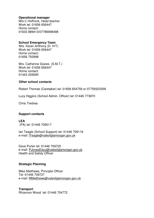#### **Operational manager**

Mrs C Hoffrock, Head teacher Work tel: 01656 656447 Home contact: 01633 889413/07786998498

#### **School Emergency Team**

Mrs. Karen Anthony (D. H/T) Work tel: 01656 656447 Home contact: 01656 750998

Mrs. Catherine Davies (S.M.T.) Work tel: 01656 656447 Home contact: 01443 225695

#### **Other school contacts**

Robert Thomas (Caretaker) tel: 01656 654759 or 07759323358

Lucy Higgins (School Admin. Officer) tel: 01446 773870

Chris Tredrea

# **Support contacts**

**LEA**  (PA) tel: 01446 709517

Ian Teagle (School Support) tel: 01446 709118 e-mail: ITeagle@valeofglamorgan.gov.uk

Dave Porter tel: 01446 709725 e-mail: PJonesEduc@valeofglamorgan.gov.uk Health and Safety Officer

# **Strategic Planning**

Mike Matthews, Principle Officer Tel: 01446 709727 e-mail: MMatthews@valeofglamorgan.gov.uk

**Transport** 

Rhiannon Wood tel: 01446 704772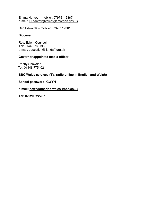Emma Harvey – mobile : 07976112367 e-mail: ELharvey@valeofglamorgan.gov.uk

Ceri Edwards – mobile: 07976112361

#### **Diocese**

Rev. Edwin Counsell Tel: 01446 760195 e-mail: education@llandaff.org.uk

#### **Governor appointed media officer**

Penny Snowden Tel: 01446 775402

# **BBC Wales services (TV, radio online in English and Welsh)**

**School password: GWYN** 

**e-mail: newsgathering.wales@bbc.co.uk** 

**Tel: 02920 322787**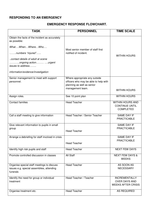# **RESPONDING TO AN EMERGENCY**

#### **EMERGENCY RESPONSE FLOWCHART.**

| <b>TASK</b>                                                    | <b>PERSONNEL</b>                      | <b>TIME SCALE</b>          |
|----------------------------------------------------------------|---------------------------------------|----------------------------|
|                                                                |                                       |                            |
| Obtain the facts of the incident as accurately<br>as possible: |                                       |                            |
| WhatWhenWhereWho                                               | Most senior member of staff first     |                            |
| numbers "injured"                                              | notified of incident.                 | <b>WITHIN HOURS</b>        |
| contact details of adult at scene<br>ongoing action urgent     |                                       |                            |
| issues to address                                              |                                       |                            |
| information/evidence/investigation                             |                                       |                            |
| Senior management to meet with support                         | Where appropriate any outside         |                            |
| personnel.                                                     | officers who may be able to help with |                            |
|                                                                | planning as well as senior            |                            |
|                                                                | management team.                      | <b>WITHIN HOURS</b>        |
| Assign roles.                                                  | See 10 point plan                     | <b>WITHIN HOURS</b>        |
| <b>Contact families</b>                                        | <b>Head Teacher</b>                   | <b>WITHIN HOURS AND</b>    |
|                                                                |                                       | <b>CONTINUE UNTIL</b>      |
|                                                                |                                       | <b>COMPLETED</b>           |
| Call a staff meeting to give information                       | Head Teacher / Senior Teacher         | SAME DAY IF                |
|                                                                |                                       | <b>PRACTICABLE</b>         |
| Give relevant information to pupils in small                   |                                       | SAME DAY IF                |
| group                                                          | <b>Head Teacher</b>                   | <b>PRACTICABLE</b>         |
|                                                                |                                       |                            |
| Arrange a debriefing for staff involved in crisis              |                                       | SAME DAY IF                |
|                                                                | <b>Head Teacher</b>                   | <b>PRACTICABLE</b>         |
|                                                                |                                       |                            |
| Identify high risk pupils and staff                            | Head Teacher                          | <b>NEXT FEW DAYS</b>       |
| Promote controlled discussion in classes                       | All Staff                             | <b>NEXT FEW DAYS &amp;</b> |
|                                                                |                                       | <b>WEEKS</b>               |
| Organise special staff meetings to discuss                     | <b>Head Teacher</b>                   | AS SOON AS                 |
| issues e.g. special assemblies, attending                      |                                       | <b>NECESSARY</b>           |
| funerals                                                       |                                       |                            |
| Identify the need for group or individual                      | Head Teacher / Teacher                | <b>INCREMENTALLY</b>       |
| treatment                                                      |                                       | <b>OVER DAYS AND</b>       |
|                                                                |                                       | <b>WEEKS AFTER CRISIS</b>  |
| Organise treatment etc.                                        | <b>Head Teacher</b>                   | <b>AS REQUIRED</b>         |